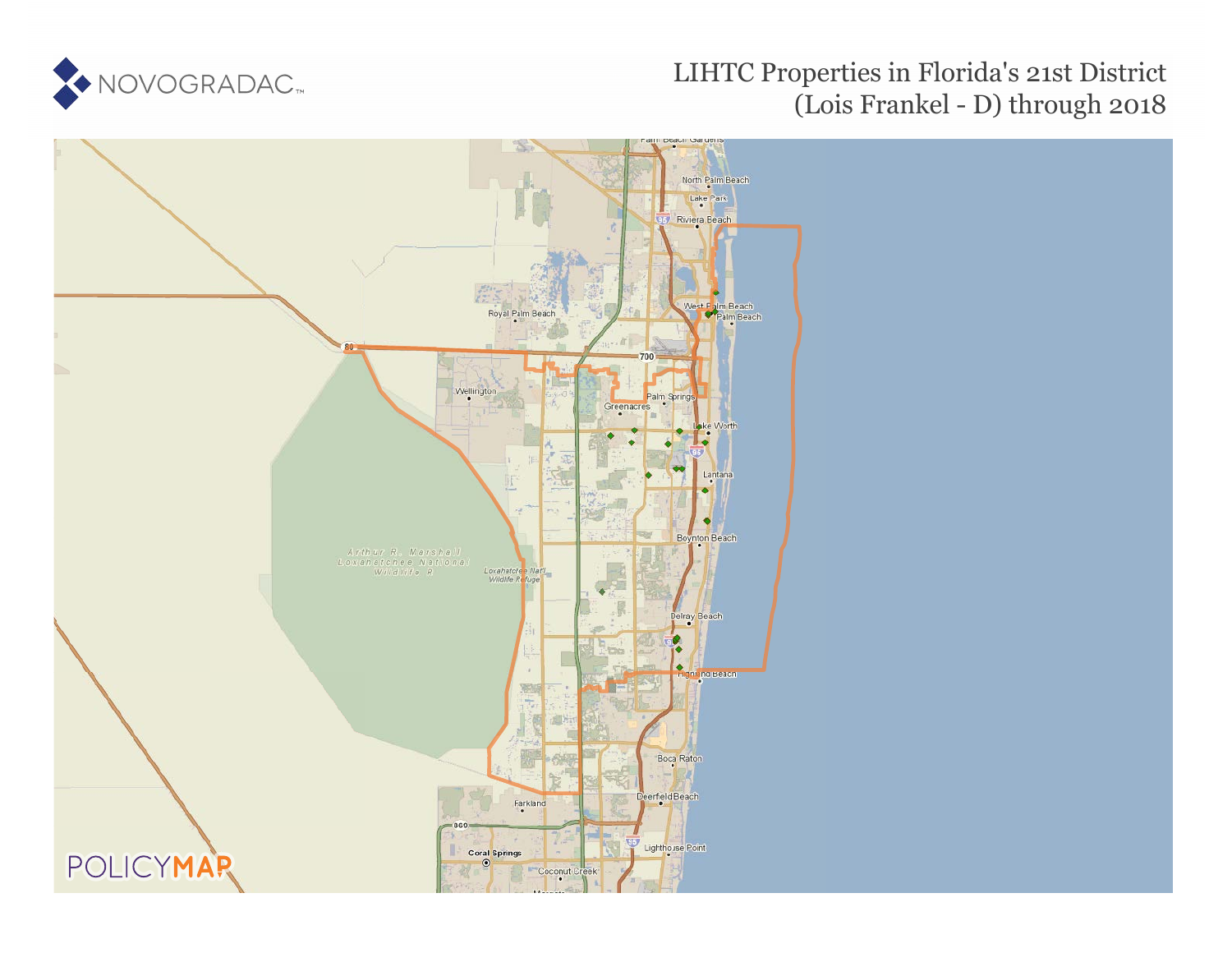

## LIHTC Properties in Florida's 21st District (Lois Frankel - D) through 2018

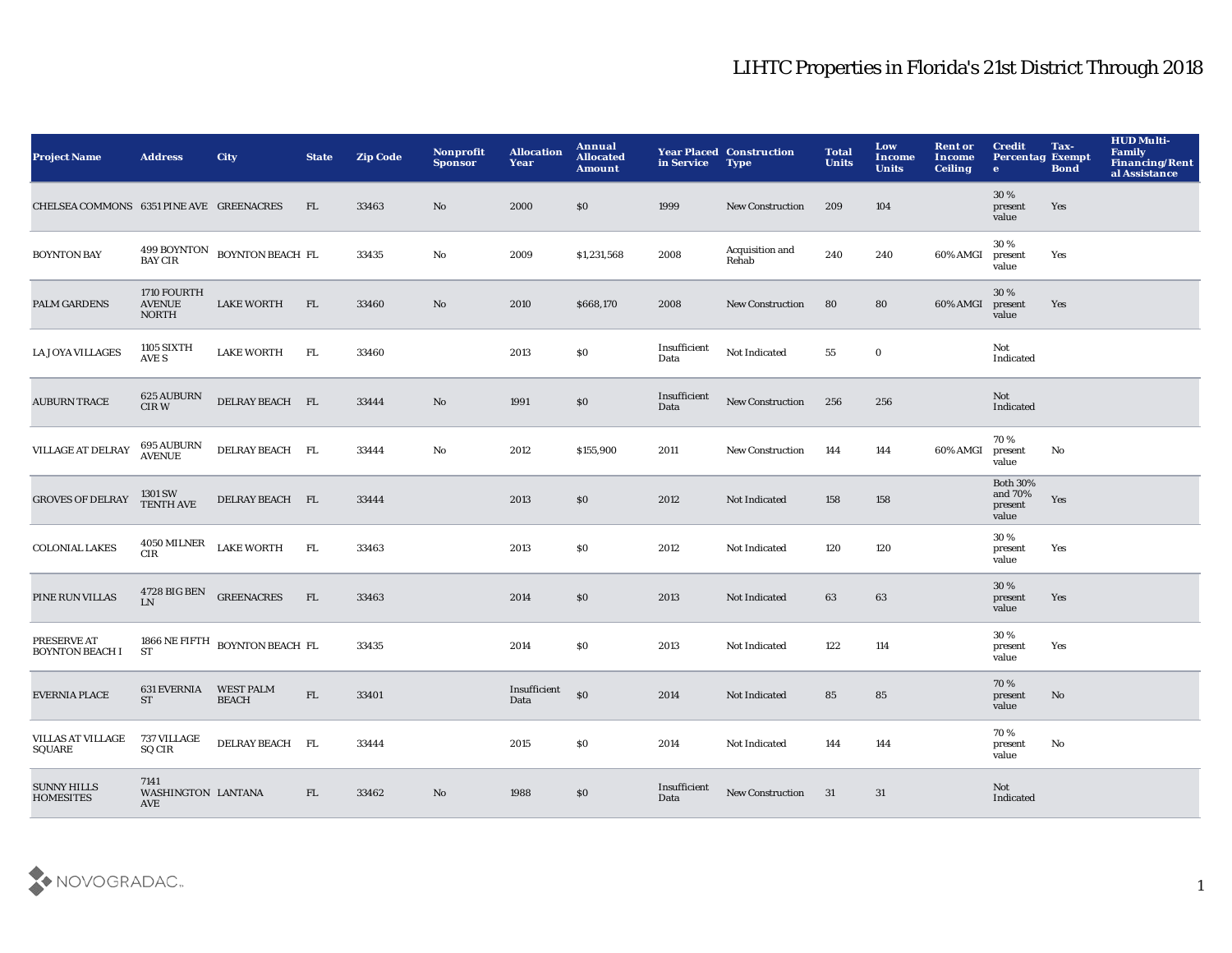## LIHTC Properties in Florida's 21st District Through 2018

| <b>Project Name</b>                      | <b>Address</b>                               | <b>City</b>                                      | <b>State</b> | <b>Zip Code</b> | Nonprofit<br><b>Sponsor</b> | <b>Allocation</b><br>Year | Annual<br><b>Allocated</b><br><b>Amount</b> | in Service           | <b>Year Placed Construction</b><br><b>Type</b> | <b>Total</b><br><b>Units</b> | Low<br>Income<br><b>Units</b> | <b>Rent or</b><br>Income<br><b>Ceiling</b> | <b>Credit</b><br><b>Percentag Exempt</b><br>$\bullet$ | Tax-<br><b>Bond</b> | <b>HUD Multi-</b><br><b>Family</b><br><b>Financing/Rent</b><br>al Assistance |
|------------------------------------------|----------------------------------------------|--------------------------------------------------|--------------|-----------------|-----------------------------|---------------------------|---------------------------------------------|----------------------|------------------------------------------------|------------------------------|-------------------------------|--------------------------------------------|-------------------------------------------------------|---------------------|------------------------------------------------------------------------------|
| CHELSEA COMMONS 6351 PINE AVE GREENACRES |                                              |                                                  | FL           | 33463           | No                          | 2000                      | \$0                                         | 1999                 | <b>New Construction</b>                        | 209                          | 104                           |                                            | 30%<br>present<br>value                               | Yes                 |                                                                              |
| <b>BOYNTON BAY</b>                       |                                              | $499$ BOYNTON $\;$ BOYNTON BEACH $\;$ FL BAY CIR |              | 33435           | No                          | 2009                      | \$1,231,568                                 | 2008                 | Acquisition and<br>Rehab                       | 240                          | 240                           | 60% AMGI                                   | 30%<br>present<br>value                               | Yes                 |                                                                              |
| PALM GARDENS                             | 1710 FOURTH<br><b>AVENUE</b><br><b>NORTH</b> | <b>LAKE WORTH</b>                                | FL           | 33460           | $\rm No$                    | 2010                      | \$668,170                                   | 2008                 | <b>New Construction</b>                        | 80                           | 80                            | 60% AMGI                                   | 30%<br>present<br>value                               | Yes                 |                                                                              |
| <b>LA JOYA VILLAGES</b>                  | <b>1105 SIXTH</b><br>AVE S                   | <b>LAKE WORTH</b>                                | FL           | 33460           |                             | 2013                      | \$0                                         | Insufficient<br>Data | Not Indicated                                  | 55                           | $\mathbf 0$                   |                                            | Not<br>Indicated                                      |                     |                                                                              |
| <b>AUBURN TRACE</b>                      | 625 AUBURN<br>CIR W                          | DELRAY BEACH FL                                  |              | 33444           | $\rm No$                    | 1991                      | $\$0$                                       | Insufficient<br>Data | <b>New Construction</b>                        | 256                          | 256                           |                                            | Not<br>Indicated                                      |                     |                                                                              |
| VILLAGE AT DELRAY                        | 695 AUBURN<br>AVENUE                         | DELRAY BEACH FL                                  |              | 33444           | $\rm No$                    | 2012                      | \$155,900                                   | 2011                 | <b>New Construction</b>                        | 144                          | 144                           | 60% AMGI                                   | 70 %<br>present<br>value                              | No                  |                                                                              |
| <b>GROVES OF DELRAY</b>                  | 1301 SW<br><b>TENTH AVE</b>                  | DELRAY BEACH FL                                  |              | 33444           |                             | 2013                      | $\$0$                                       | 2012                 | Not Indicated                                  | 158                          | 158                           |                                            | <b>Both 30%</b><br>and 70%<br>present<br>value        | Yes                 |                                                                              |
| <b>COLONIAL LAKES</b>                    | 4050 MILNER<br>CIR                           | <b>LAKE WORTH</b>                                | FL           | 33463           |                             | 2013                      | \$0                                         | 2012                 | Not Indicated                                  | 120                          | 120                           |                                            | 30 %<br>present<br>value                              | Yes                 |                                                                              |
| PINE RUN VILLAS                          | 4728 BIG BEN<br>L <sub>N</sub>               | <b>GREENACRES</b>                                | FL           | 33463           |                             | 2014                      | \$0                                         | 2013                 | Not Indicated                                  | 63                           | 63                            |                                            | 30%<br>present<br>value                               | Yes                 |                                                                              |
| PRESERVE AT<br><b>BOYNTON BEACH I</b>    | <b>ST</b>                                    | 1866 NE FIFTH BOYNTON BEACH FL                   |              | 33435           |                             | 2014                      | \$0                                         | 2013                 | Not Indicated                                  | 122                          | 114                           |                                            | 30%<br>present<br>value                               | Yes                 |                                                                              |
| <b>EVERNIA PLACE</b>                     | <b>631 EVERNIA</b><br><b>ST</b>              | <b>WEST PALM</b><br><b>BEACH</b>                 | FL           | 33401           |                             | Insufficient<br>Data      | \$0                                         | 2014                 | Not Indicated                                  | 85                           | 85                            |                                            | 70%<br>present<br>value                               | No                  |                                                                              |
| <b>VILLAS AT VILLAGE</b><br>SQUARE       | 737 VILLAGE<br><b>SQ CIR</b>                 | DELRAY BEACH FL                                  |              | 33444           |                             | 2015                      | \$0                                         | 2014                 | Not Indicated                                  | 144                          | 144                           |                                            | 70%<br>present<br>value                               | No                  |                                                                              |
| <b>SUNNY HILLS</b><br><b>HOMESITES</b>   | 7141<br>WASHINGTON LANTANA<br><b>AVE</b>     |                                                  | FL.          | 33462           | No                          | 1988                      | \$0                                         | Insufficient<br>Data | <b>New Construction</b>                        | 31                           | 31                            |                                            | Not<br>Indicated                                      |                     |                                                                              |

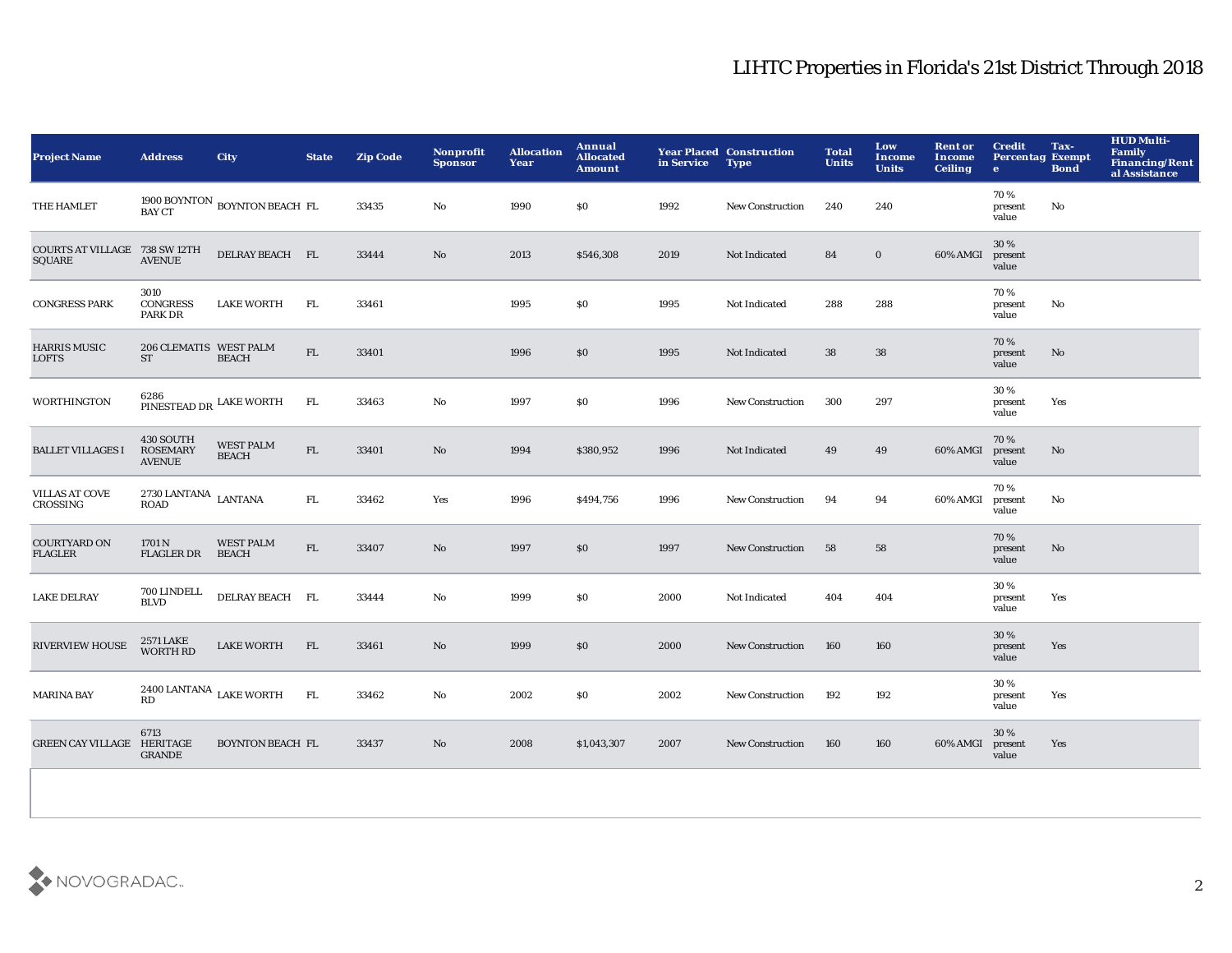## LIHTC Properties in Florida's 21st District Through 2018

| <b>Project Name</b>                     | <b>Address</b>                                | City                             | <b>State</b> | <b>Zip Code</b> | Nonprofit<br><b>Sponsor</b> | <b>Allocation</b><br>Year | Annual<br><b>Allocated</b><br><b>Amount</b>      | in Service Type | <b>Year Placed Construction</b> | <b>Total</b><br><b>Units</b> | Low<br><b>Income</b><br><b>Units</b> | <b>Rent or</b><br><b>Income</b><br><b>Ceiling</b> | <b>Credit</b><br><b>Percentag Exempt</b><br>$\mathbf{e}$ | Tax-<br><b>Bond</b> | <b>HUD Multi-</b><br>Family<br>Financing/Rent<br>al Assistance |
|-----------------------------------------|-----------------------------------------------|----------------------------------|--------------|-----------------|-----------------------------|---------------------------|--------------------------------------------------|-----------------|---------------------------------|------------------------------|--------------------------------------|---------------------------------------------------|----------------------------------------------------------|---------------------|----------------------------------------------------------------|
| THE HAMLET                              | <b>BAY CT</b>                                 | 1900 BOYNTON BOYNTON BEACH FL    |              | 33435           | No                          | 1990                      | \$0                                              | 1992            | <b>New Construction</b>         | 240                          | 240                                  |                                                   | 70%<br>present<br>value                                  | No                  |                                                                |
| COURTS AT VILLAGE 738 SW 12TH<br>SQUARE | <b>AVENUE</b>                                 | DELRAY BEACH FL                  |              | 33444           | No                          | 2013                      | \$546,308                                        | 2019            | Not Indicated                   | 84                           | $\bf{0}$                             | 60% AMGI                                          | 30%<br>present<br>value                                  |                     |                                                                |
| <b>CONGRESS PARK</b>                    | 3010<br><b>CONGRESS</b><br>PARK DR            | <b>LAKE WORTH</b>                | FL.          | 33461           |                             | 1995                      | \$0                                              | 1995            | Not Indicated                   | 288                          | 288                                  |                                                   | 70%<br>present<br>value                                  | No                  |                                                                |
| <b>HARRIS MUSIC</b><br><b>LOFTS</b>     | 206 CLEMATIS WEST PALM<br><b>ST</b>           | <b>BEACH</b>                     | ${\rm FL}$   | 33401           |                             | 1996                      | \$0                                              | 1995            | Not Indicated                   | 38                           | 38                                   |                                                   | 70%<br>present<br>value                                  | No                  |                                                                |
| <b>WORTHINGTON</b>                      | 6286<br>PINESTEAD DR LAKE WORTH               |                                  | FL           | 33463           | No                          | 1997                      | \$0                                              | 1996            | New Construction                | 300                          | 297                                  |                                                   | 30%<br>present<br>value                                  | Yes                 |                                                                |
| <b>BALLET VILLAGES I</b>                | 430 SOUTH<br><b>ROSEMARY</b><br><b>AVENUE</b> | <b>WEST PALM</b><br><b>BEACH</b> | ${\rm FL}$   | 33401           | No                          | 1994                      | \$380,952                                        | 1996            | Not Indicated                   | 49                           | 49                                   | 60% AMGI                                          | 70%<br>present<br>value                                  | No                  |                                                                |
| <b>VILLAS AT COVE</b><br>CROSSING       | $2730\,$ LANTANA $\,$ LANTANA<br>ROAD         |                                  | ${\bf FL}$   | 33462           | Yes                         | 1996                      | \$494,756                                        | 1996            | <b>New Construction</b>         | 94                           | 94                                   | 60% AMGI                                          | 70%<br>present<br>value                                  | No                  |                                                                |
| <b>COURTYARD ON</b><br><b>FLAGLER</b>   | 1701 N<br><b>FLAGLER DR</b>                   | <b>WEST PALM</b><br><b>BEACH</b> | ${\rm FL}$   | 33407           | No                          | 1997                      | \$0                                              | 1997            | <b>New Construction</b>         | 58                           | 58                                   |                                                   | 70%<br>present<br>value                                  | No                  |                                                                |
| <b>LAKE DELRAY</b>                      | 700 LINDELL<br><b>BLVD</b>                    | DELRAY BEACH FL                  |              | 33444           | No                          | 1999                      | $\boldsymbol{\mathsf{S}}\boldsymbol{\mathsf{0}}$ | 2000            | Not Indicated                   | 404                          | 404                                  |                                                   | 30%<br>present<br>value                                  | Yes                 |                                                                |
| <b>RIVERVIEW HOUSE</b>                  | 2571 LAKE<br>WORTH RD                         | <b>LAKE WORTH</b>                | FL           | 33461           | No                          | 1999                      | $\$0$                                            | 2000            | <b>New Construction</b>         | 160                          | 160                                  |                                                   | 30 %<br>present<br>value                                 | Yes                 |                                                                |
| <b>MARINA BAY</b>                       | $2400$ LANTANA $\,$ LAKE WORTH<br>RD          |                                  | FL           | 33462           | No                          | 2002                      | \$0                                              | 2002            | <b>New Construction</b>         | 192                          | 192                                  |                                                   | 30%<br>present<br>value                                  | Yes                 |                                                                |
| GREEN CAY VILLAGE HERITAGE              | 6713<br><b>GRANDE</b>                         | <b>BOYNTON BEACH FL</b>          |              | 33437           | No                          | 2008                      | \$1,043,307                                      | 2007            | <b>New Construction</b>         | 160                          | 160                                  | 60% AMGI                                          | 30%<br>present<br>value                                  | Yes                 |                                                                |
|                                         |                                               |                                  |              |                 |                             |                           |                                                  |                 |                                 |                              |                                      |                                                   |                                                          |                     |                                                                |